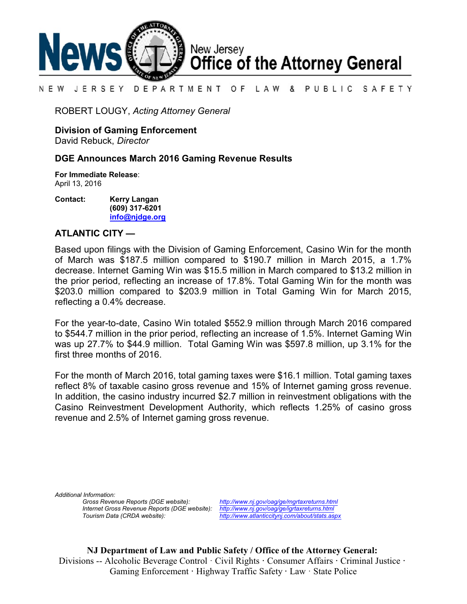

#### DEPARTMENT OF LAW & PUBLIC SAFETY N E W JERSEY

ROBERT LOUGY, *Acting Attorney General*

**Division of Gaming Enforcement**

David Rebuck, *Director*

## **DGE Announces March 2016 Gaming Revenue Results**

**For Immediate Release**: April 13, 2016

**Contact: Kerry Langan (609) 317-6201 [info@njdge.org](file:///|//info@njdge.org)**

## **ATLANTIC CITY —**

Based upon filings with the Division of Gaming Enforcement, Casino Win for the month of March was \$187.5 million compared to \$190.7 million in March 2015, a 1.7% decrease. Internet Gaming Win was \$15.5 million in March compared to \$13.2 million in the prior period, reflecting an increase of 17.8%. Total Gaming Win for the month was \$203.0 million compared to \$203.9 million in Total Gaming Win for March 2015, reflecting a 0.4% decrease.

For the year-to-date, Casino Win totaled \$552.9 million through March 2016 compared to \$544.7 million in the prior period, reflecting an increase of 1.5%. Internet Gaming Win was up 27.7% to \$44.9 million. Total Gaming Win was \$597.8 million, up 3.1% for the first three months of 2016.

For the month of March 2016, total gaming taxes were \$16.1 million. Total gaming taxes reflect 8% of taxable casino gross revenue and 15% of Internet gaming gross revenue. In addition, the casino industry incurred \$2.7 million in reinvestment obligations with the Casino Reinvestment Development Authority, which reflects 1.25% of casino gross revenue and 2.5% of Internet gaming gross revenue.

*Additional Information: Internet Gross Revenue Reports (DGE website): <http://www.nj.gov/oag/ge/igrtaxreturns.html>*

*Gross Revenue Reports (DGE website): <http://www.nj.gov/oag/ge/mgrtaxreturns.html> Tourism Data (CRDA website): <http://www.atlanticcitynj.com/about/stats.aspx>*

**NJ Department of Law and Public Safety / Office of the Attorney General:** Divisions -- Alcoholic Beverage Control · Civil Rights **·** Consumer Affairs **·** Criminal Justice **·**  Gaming Enforcement **·** Highway Traffic Safety **·** Law · State Police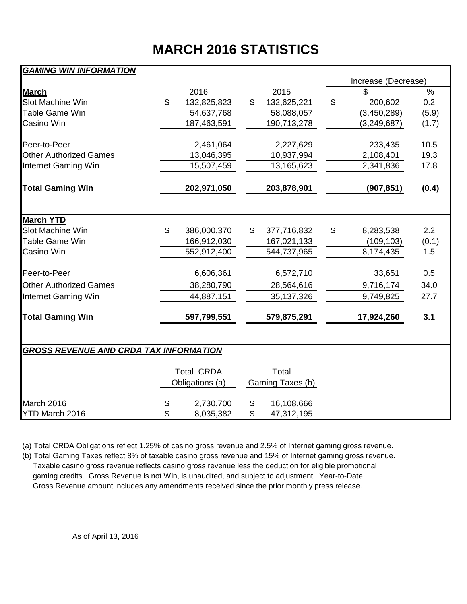# **MARCH 2016 STATISTICS**

## *GAMING WIN INFORMATION*

|                                               |               |                   |                |                  |                | Increase (Decrease) |               |  |  |  |  |  |
|-----------------------------------------------|---------------|-------------------|----------------|------------------|----------------|---------------------|---------------|--|--|--|--|--|
| <b>March</b>                                  |               | 2016              |                | 2015             |                | \$                  | $\frac{1}{2}$ |  |  |  |  |  |
| <b>Slot Machine Win</b>                       | $\mathcal{S}$ | 132,825,823       | $\mathfrak{S}$ | 132,625,221      | $\mathfrak{S}$ | 200,602             | 0.2           |  |  |  |  |  |
| <b>Table Game Win</b>                         |               | 54,637,768        |                | 58,088,057       |                | (3,450,289)         | (5.9)         |  |  |  |  |  |
| Casino Win                                    |               | 187,463,591       |                | 190,713,278      |                | (3, 249, 687)       | (1.7)         |  |  |  |  |  |
| Peer-to-Peer                                  |               | 2,461,064         |                | 2,227,629        |                | 233,435             | 10.5          |  |  |  |  |  |
| <b>Other Authorized Games</b>                 |               | 13,046,395        |                | 10,937,994       |                | 2,108,401           | 19.3          |  |  |  |  |  |
| Internet Gaming Win                           |               | 15,507,459        |                | 13,165,623       |                | 2,341,836           | 17.8          |  |  |  |  |  |
| <b>Total Gaming Win</b>                       | 202,971,050   |                   |                | 203,878,901      |                | (907, 851)          | (0.4)         |  |  |  |  |  |
|                                               |               |                   |                |                  |                |                     |               |  |  |  |  |  |
| <b>March YTD</b>                              |               |                   |                |                  |                |                     |               |  |  |  |  |  |
| Slot Machine Win                              | \$            | 386,000,370       | \$             | 377,716,832      | \$             | 8,283,538           | 2.2           |  |  |  |  |  |
| <b>Table Game Win</b>                         |               | 166,912,030       |                | 167,021,133      |                | (109, 103)          | (0.1)         |  |  |  |  |  |
| Casino Win                                    |               | 552,912,400       |                | 544,737,965      |                | 8,174,435           | 1.5           |  |  |  |  |  |
| Peer-to-Peer                                  |               | 6,606,361         |                | 6,572,710        |                | 33,651              | 0.5           |  |  |  |  |  |
| <b>Other Authorized Games</b>                 |               | 38,280,790        |                | 28,564,616       |                | 9,716,174           | 34.0          |  |  |  |  |  |
| Internet Gaming Win                           |               | 44,887,151        |                | 35, 137, 326     |                | 9,749,825           | 27.7          |  |  |  |  |  |
| <b>Total Gaming Win</b>                       |               | 597,799,551       |                | 579,875,291      |                | 17,924,260          | 3.1           |  |  |  |  |  |
|                                               |               |                   |                |                  |                |                     |               |  |  |  |  |  |
| <b>GROSS REVENUE AND CRDA TAX INFORMATION</b> |               |                   |                |                  |                |                     |               |  |  |  |  |  |
|                                               |               | <b>Total CRDA</b> |                | Total            |                |                     |               |  |  |  |  |  |
|                                               |               | Obligations (a)   |                | Gaming Taxes (b) |                |                     |               |  |  |  |  |  |
| March 2016                                    | \$            | 2,730,700         | \$             | 16,108,666       |                |                     |               |  |  |  |  |  |
| YTD March 2016                                | \$            | 8,035,382         | \$             | 47,312,195       |                |                     |               |  |  |  |  |  |

(a) Total CRDA Obligations reflect 1.25% of casino gross revenue and 2.5% of Internet gaming gross revenue.

(b) Total Gaming Taxes reflect 8% of taxable casino gross revenue and 15% of Internet gaming gross revenue. Taxable casino gross revenue reflects casino gross revenue less the deduction for eligible promotional gaming credits. Gross Revenue is not Win, is unaudited, and subject to adjustment. Year-to-Date Gross Revenue amount includes any amendments received since the prior monthly press release.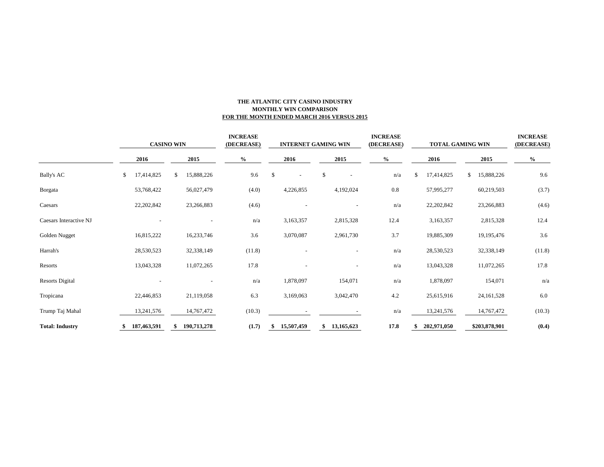### **THE ATLANTIC CITY CASINO INDUSTRY MONTHLY WIN COMPARISON FOR THE MONTH ENDED MARCH 2016 VERSUS 2015**

|                        | <b>CASINO WIN</b> |    |             |      | <b>INCREASE</b><br>(DECREASE) |      | <b>INTERNET GAMING WIN</b> |      | <b>INCREASE</b><br>(DECREASE) |      | <b>TOTAL GAMING WIN</b> |      |             |      | <b>INCREASE</b><br>(DECREASE) |        |
|------------------------|-------------------|----|-------------|------|-------------------------------|------|----------------------------|------|-------------------------------|------|-------------------------|------|-------------|------|-------------------------------|--------|
|                        | 2016              |    | 2015        | $\%$ |                               | 2016 |                            | 2015 |                               | $\%$ |                         | 2016 |             | 2015 |                               | $\%$   |
| <b>Bally's AC</b>      | \$<br>17,414,825  | \$ | 15,888,226  |      | 9.6                           | \$   | $\overline{\phantom{a}}$   | \$   | $\overline{\phantom{a}}$      |      | n/a                     |      | 17,414,825  | \$   | 15,888,226                    | 9.6    |
| Borgata                | 53,768,422        |    | 56,027,479  |      | (4.0)                         |      | 4,226,855                  |      | 4,192,024                     |      | 0.8                     |      | 57,995,277  |      | 60,219,503                    | (3.7)  |
| Caesars                | 22,202,842        |    | 23,266,883  |      | (4.6)                         |      |                            |      |                               |      | n/a                     |      | 22,202,842  |      | 23,266,883                    | (4.6)  |
| Caesars Interactive NJ |                   |    |             |      | n/a                           |      | 3,163,357                  |      | 2,815,328                     |      | 12.4                    |      | 3,163,357   |      | 2,815,328                     | 12.4   |
| Golden Nugget          | 16,815,222        |    | 16,233,746  |      | 3.6                           |      | 3,070,087                  |      | 2,961,730                     |      | 3.7                     |      | 19,885,309  |      | 19,195,476                    | 3.6    |
| Harrah's               | 28,530,523        |    | 32,338,149  |      | (11.8)                        |      |                            |      | $\overline{\phantom{a}}$      |      | n/a                     |      | 28,530,523  |      | 32,338,149                    | (11.8) |
| Resorts                | 13,043,328        |    | 11,072,265  |      | 17.8                          |      |                            |      |                               |      | n/a                     |      | 13,043,328  |      | 11,072,265                    | 17.8   |
| <b>Resorts Digital</b> |                   |    |             |      | n/a                           |      | 1,878,097                  |      | 154,071                       |      | n/a                     |      | 1,878,097   |      | 154,071                       | n/a    |
| Tropicana              | 22,446,853        |    | 21,119,058  |      | 6.3                           |      | 3,169,063                  |      | 3,042,470                     |      | 4.2                     |      | 25,615,916  |      | 24, 161, 528                  | 6.0    |
| Trump Taj Mahal        | 13,241,576        |    | 14,767,472  |      | (10.3)                        |      |                            |      |                               |      | n/a                     |      | 13,241,576  |      | 14,767,472                    | (10.3) |
| <b>Total: Industry</b> | 187,463,591       |    | 190,713,278 |      | (1.7)                         |      | 15,507,459                 | \$   | 13,165,623                    |      | 17.8                    |      | 202,971,050 |      | \$203,878,901                 | (0.4)  |